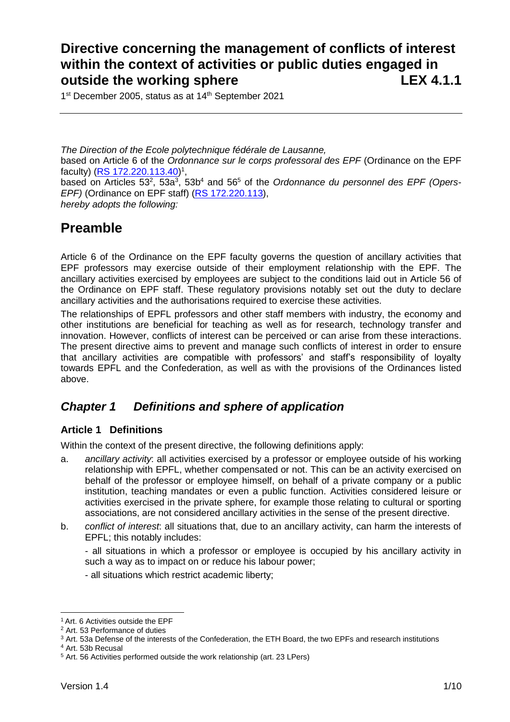# **Directive concerning the management of conflicts of interest within the context of activities or public duties engaged in outside the working sphere LEX 4.1.1**

1<sup>st</sup> December 2005, status as at 14<sup>th</sup> September 2021

*The Direction of the Ecole polytechnique fédérale de Lausanne,* based on Article 6 of the *Ordonnance sur le corps professoral des EPF* (Ordinance on the EPF faculty) [\(RS 172.220.113.40\)](http://www.admin.ch/ch/f/rs/172_220_113_40/index.html)<sup>1</sup>, based on Articles 53<sup>2</sup>, 53a<sup>3</sup>, 53b<sup>4</sup> and 56<sup>5</sup> of the *Ordonnance du personnel des EPF (Opers-EPF)* (Ordinance on EPF staff) [\(RS 172.220.113\)](http://www.admin.ch/ch/f/rs/c172_220_113.html), *hereby adopts the following:*

# **Preamble**

Article 6 of the Ordinance on the EPF faculty governs the question of ancillary activities that EPF professors may exercise outside of their employment relationship with the EPF. The ancillary activities exercised by employees are subject to the conditions laid out in Article 56 of the Ordinance on EPF staff. These regulatory provisions notably set out the duty to declare ancillary activities and the authorisations required to exercise these activities.

The relationships of EPFL professors and other staff members with industry, the economy and other institutions are beneficial for teaching as well as for research, technology transfer and innovation. However, conflicts of interest can be perceived or can arise from these interactions. The present directive aims to prevent and manage such conflicts of interest in order to ensure that ancillary activities are compatible with professors' and staff's responsibility of loyalty towards EPFL and the Confederation, as well as with the provisions of the Ordinances listed above.

# *Chapter 1 Definitions and sphere of application*

### **Article 1 Definitions**

Within the context of the present directive, the following definitions apply:

- a. *ancillary activity*: all activities exercised by a professor or employee outside of his working relationship with EPFL, whether compensated or not. This can be an activity exercised on behalf of the professor or employee himself, on behalf of a private company or a public institution, teaching mandates or even a public function. Activities considered leisure or activities exercised in the private sphere, for example those relating to cultural or sporting associations, are not considered ancillary activities in the sense of the present directive.
- b. *conflict of interest*: all situations that, due to an ancillary activity, can harm the interests of EPFL; this notably includes:

- all situations in which a professor or employee is occupied by his ancillary activity in such a way as to impact on or reduce his labour power;

- all situations which restrict academic liberty;

<sup>1</sup>Art. 6 Activities outside the EPF

<sup>2</sup> Art. 53 Performance of duties

<sup>&</sup>lt;sup>3</sup> Art. 53a Defense of the interests of the Confederation, the ETH Board, the two EPFs and research institutions

<sup>4</sup> Art. 53b Recusal

<sup>5</sup> Art. 56 Activities performed outside the work relationship (art. 23 LPers)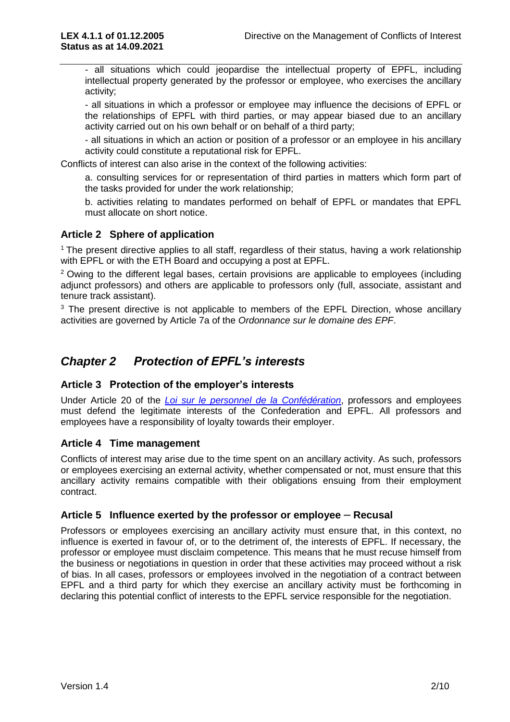- all situations which could jeopardise the intellectual property of EPFL, including intellectual property generated by the professor or employee, who exercises the ancillary activity;

- all situations in which a professor or employee may influence the decisions of EPFL or the relationships of EPFL with third parties, or may appear biased due to an ancillary activity carried out on his own behalf or on behalf of a third party;

- all situations in which an action or position of a professor or an employee in his ancillary activity could constitute a reputational risk for EPFL.

Conflicts of interest can also arise in the context of the following activities:

a. consulting services for or representation of third parties in matters which form part of the tasks provided for under the work relationship;

b. activities relating to mandates performed on behalf of EPFL or mandates that EPFL must allocate on short notice.

#### **Article 2 Sphere of application**

<sup>1</sup> The present directive applies to all staff, regardless of their status, having a work relationship with EPFL or with the ETH Board and occupying a post at EPFL.

 $2$  Owing to the different legal bases, certain provisions are applicable to employees (including adjunct professors) and others are applicable to professors only (full, associate, assistant and tenure track assistant).

 $3$  The present directive is not applicable to members of the EPFL Direction, whose ancillary activities are governed by Article 7a of the *Ordonnance sur le domaine des EPF*.

## *Chapter 2 Protection of EPFL's interests*

#### **Article 3 Protection of the employer's interests**

Under Article 20 of the *[Loi sur le personnel de la Confédération](https://www.admin.ch/opc/fr/classified-compilation/20000738/index.html)*, professors and employees must defend the legitimate interests of the Confederation and EPFL. All professors and employees have a responsibility of loyalty towards their employer.

#### **Article 4 Time management**

Conflicts of interest may arise due to the time spent on an ancillary activity. As such, professors or employees exercising an external activity, whether compensated or not, must ensure that this ancillary activity remains compatible with their obligations ensuing from their employment contract.

#### **Article 5 Influence exerted by the professor or employee** *–* **Recusal**

Professors or employees exercising an ancillary activity must ensure that, in this context, no influence is exerted in favour of, or to the detriment of, the interests of EPFL. If necessary, the professor or employee must disclaim competence. This means that he must recuse himself from the business or negotiations in question in order that these activities may proceed without a risk of bias. In all cases, professors or employees involved in the negotiation of a contract between EPFL and a third party for which they exercise an ancillary activity must be forthcoming in declaring this potential conflict of interests to the EPFL service responsible for the negotiation.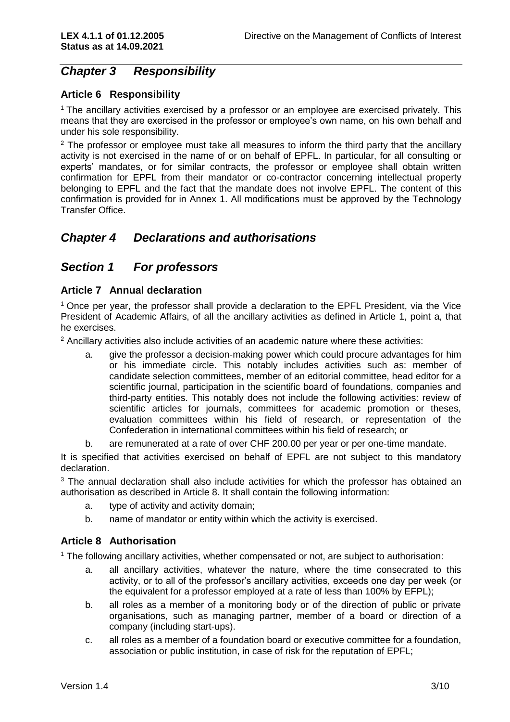# *Chapter 3 Responsibility*

#### **Article 6 Responsibility**

<sup>1</sup> The ancillary activities exercised by a professor or an employee are exercised privately. This means that they are exercised in the professor or employee's own name, on his own behalf and under his sole responsibility.

 $2$  The professor or employee must take all measures to inform the third party that the ancillary activity is not exercised in the name of or on behalf of EPFL. In particular, for all consulting or experts' mandates, or for similar contracts, the professor or employee shall obtain written confirmation for EPFL from their mandator or co-contractor concerning intellectual property belonging to EPFL and the fact that the mandate does not involve EPFL. The content of this confirmation is provided for in Annex 1. All modifications must be approved by the Technology Transfer Office.

## *Chapter 4 Declarations and authorisations*

### *Section 1 For professors*

#### **Article 7 Annual declaration**

<sup>1</sup> Once per year, the professor shall provide a declaration to the EPFL President, via the Vice President of Academic Affairs, of all the ancillary activities as defined in Article 1, point a, that he exercises.

 $2$  Ancillary activities also include activities of an academic nature where these activities:

- a. give the professor a decision-making power which could procure advantages for him or his immediate circle. This notably includes activities such as: member of candidate selection committees, member of an editorial committee, head editor for a scientific journal, participation in the scientific board of foundations, companies and third-party entities. This notably does not include the following activities: review of scientific articles for journals, committees for academic promotion or theses, evaluation committees within his field of research, or representation of the Confederation in international committees within his field of research; or
- b. are remunerated at a rate of over CHF 200.00 per year or per one-time mandate.

It is specified that activities exercised on behalf of EPFL are not subject to this mandatory declaration.

<sup>3</sup> The annual declaration shall also include activities for which the professor has obtained an authorisation as described in Article 8. It shall contain the following information:

- a. type of activity and activity domain;
- b. name of mandator or entity within which the activity is exercised.

#### **Article 8 Authorisation**

<sup>1</sup> The following ancillary activities, whether compensated or not, are subject to authorisation:

- a. all ancillary activities, whatever the nature, where the time consecrated to this activity, or to all of the professor's ancillary activities, exceeds one day per week (or the equivalent for a professor employed at a rate of less than 100% by EFPL);
- b. all roles as a member of a monitoring body or of the direction of public or private organisations, such as managing partner, member of a board or direction of a company (including start-ups).
- c. all roles as a member of a foundation board or executive committee for a foundation, association or public institution, in case of risk for the reputation of EPFL;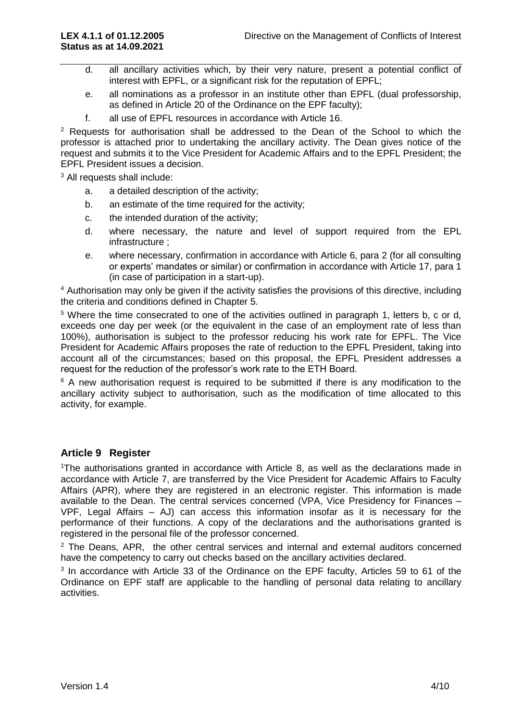- d. all ancillary activities which, by their very nature, present a potential conflict of interest with EPFL, or a significant risk for the reputation of EPFL;
- e. all nominations as a professor in an institute other than EPFL (dual professorship, as defined in Article 20 of the Ordinance on the EPF faculty);
- f. all use of EPFL resources in accordance with Article 16.

 $2$  Requests for authorisation shall be addressed to the Dean of the School to which the professor is attached prior to undertaking the ancillary activity. The Dean gives notice of the request and submits it to the Vice President for Academic Affairs and to the EPFL President; the EPFL President issues a decision.

<sup>3</sup> All requests shall include:

- a. a detailed description of the activity;
- b. an estimate of the time required for the activity:
- c. the intended duration of the activity;
- d. where necessary, the nature and level of support required from the EPL infrastructure ;
- e. where necessary, confirmation in accordance with Article 6, para 2 (for all consulting or experts' mandates or similar) or confirmation in accordance with Article 17, para 1 (in case of participation in a start-up).

<sup>4</sup> Authorisation may only be given if the activity satisfies the provisions of this directive, including the criteria and conditions defined in Chapter 5.

<sup>5</sup> Where the time consecrated to one of the activities outlined in paragraph 1, letters b, c or d, exceeds one day per week (or the equivalent in the case of an employment rate of less than 100%), authorisation is subject to the professor reducing his work rate for EPFL. The Vice President for Academic Affairs proposes the rate of reduction to the EPFL President, taking into account all of the circumstances; based on this proposal, the EPFL President addresses a request for the reduction of the professor's work rate to the ETH Board.

 $6$  A new authorisation request is required to be submitted if there is any modification to the ancillary activity subject to authorisation, such as the modification of time allocated to this activity, for example.

#### **Article 9 Register**

<sup>1</sup>The authorisations granted in accordance with Article 8, as well as the declarations made in accordance with Article 7, are transferred by the Vice President for Academic Affairs to Faculty Affairs (APR), where they are registered in an electronic register. This information is made available to the Dean. The central services concerned (VPA, Vice Presidency for Finances – VPF, Legal Affairs – AJ) can access this information insofar as it is necessary for the performance of their functions. A copy of the declarations and the authorisations granted is registered in the personal file of the professor concerned.

 $2$  The Deans, APR, the other central services and internal and external auditors concerned have the competency to carry out checks based on the ancillary activities declared.

<sup>3</sup> In accordance with Article 33 of the Ordinance on the EPF faculty, Articles 59 to 61 of the Ordinance on EPF staff are applicable to the handling of personal data relating to ancillary activities.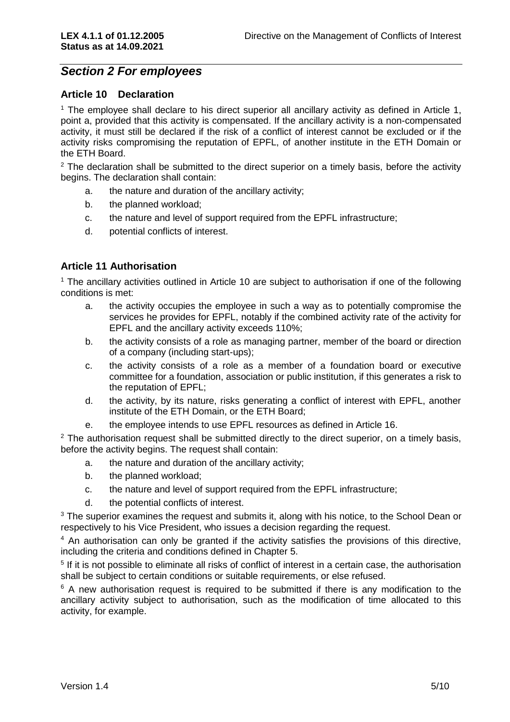### *Section 2 For employees*

#### **Article 10 Declaration**

<sup>1</sup> The employee shall declare to his direct superior all ancillary activity as defined in Article 1, point a, provided that this activity is compensated. If the ancillary activity is a non-compensated activity, it must still be declared if the risk of a conflict of interest cannot be excluded or if the activity risks compromising the reputation of EPFL, of another institute in the ETH Domain or the ETH Board.

 $2$  The declaration shall be submitted to the direct superior on a timely basis, before the activity begins. The declaration shall contain:

- a. the nature and duration of the ancillary activity;
- b. the planned workload;
- c. the nature and level of support required from the EPFL infrastructure;
- d. potential conflicts of interest.

#### **Article 11 Authorisation**

<sup>1</sup> The ancillary activities outlined in Article 10 are subject to authorisation if one of the following conditions is met:

- a. the activity occupies the employee in such a way as to potentially compromise the services he provides for EPFL, notably if the combined activity rate of the activity for EPFL and the ancillary activity exceeds 110%;
- b. the activity consists of a role as managing partner, member of the board or direction of a company (including start-ups);
- c. the activity consists of a role as a member of a foundation board or executive committee for a foundation, association or public institution, if this generates a risk to the reputation of EPFL;
- d. the activity, by its nature, risks generating a conflict of interest with EPFL, another institute of the ETH Domain, or the ETH Board;
- e. the employee intends to use EPFL resources as defined in Article 16.

 $2$  The authorisation request shall be submitted directly to the direct superior, on a timely basis, before the activity begins. The request shall contain:

- a. the nature and duration of the ancillary activity;
- b. the planned workload;
- c. the nature and level of support required from the EPFL infrastructure;
- d. the potential conflicts of interest.

 $3$  The superior examines the request and submits it, along with his notice, to the School Dean or respectively to his Vice President, who issues a decision regarding the request.

<sup>4</sup> An authorisation can only be granted if the activity satisfies the provisions of this directive, including the criteria and conditions defined in Chapter 5.

<sup>5</sup> If it is not possible to eliminate all risks of conflict of interest in a certain case, the authorisation shall be subject to certain conditions or suitable requirements, or else refused.

 $6$  A new authorisation request is required to be submitted if there is any modification to the ancillary activity subject to authorisation, such as the modification of time allocated to this activity, for example.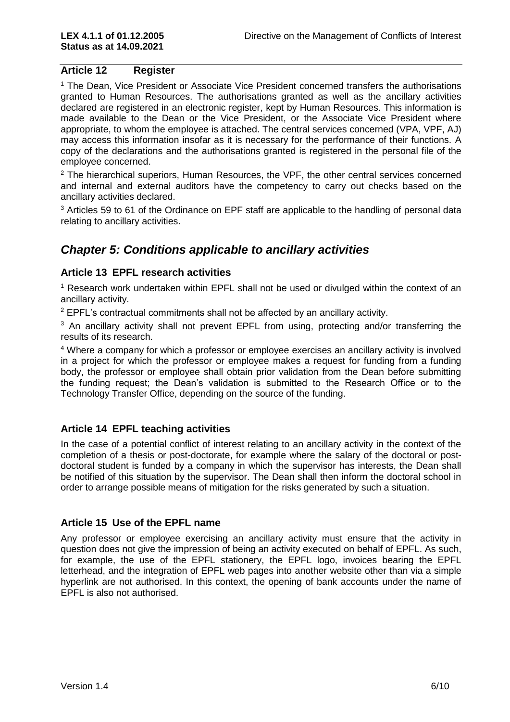#### **Article 12 Register**

<sup>1</sup> The Dean, Vice President or Associate Vice President concerned transfers the authorisations granted to Human Resources. The authorisations granted as well as the ancillary activities declared are registered in an electronic register, kept by Human Resources. This information is made available to the Dean or the Vice President, or the Associate Vice President where appropriate, to whom the employee is attached. The central services concerned (VPA, VPF, AJ) may access this information insofar as it is necessary for the performance of their functions. A copy of the declarations and the authorisations granted is registered in the personal file of the employee concerned.

 $2$  The hierarchical superiors, Human Resources, the VPF, the other central services concerned and internal and external auditors have the competency to carry out checks based on the ancillary activities declared.

<sup>3</sup> Articles 59 to 61 of the Ordinance on EPF staff are applicable to the handling of personal data relating to ancillary activities.

# *Chapter 5: Conditions applicable to ancillary activities*

#### **Article 13 EPFL research activities**

<sup>1</sup> Research work undertaken within EPFL shall not be used or divulged within the context of an ancillary activity.

<sup>2</sup> EPFL's contractual commitments shall not be affected by an ancillary activity.

<sup>3</sup> An ancillary activity shall not prevent EPFL from using, protecting and/or transferring the results of its research.

<sup>4</sup> Where a company for which a professor or employee exercises an ancillary activity is involved in a project for which the professor or employee makes a request for funding from a funding body, the professor or employee shall obtain prior validation from the Dean before submitting the funding request; the Dean's validation is submitted to the Research Office or to the Technology Transfer Office, depending on the source of the funding.

#### **Article 14 EPFL teaching activities**

In the case of a potential conflict of interest relating to an ancillary activity in the context of the completion of a thesis or post-doctorate, for example where the salary of the doctoral or postdoctoral student is funded by a company in which the supervisor has interests, the Dean shall be notified of this situation by the supervisor. The Dean shall then inform the doctoral school in order to arrange possible means of mitigation for the risks generated by such a situation.

#### **Article 15 Use of the EPFL name**

Any professor or employee exercising an ancillary activity must ensure that the activity in question does not give the impression of being an activity executed on behalf of EPFL. As such, for example, the use of the EPFL stationery, the EPFL logo, invoices bearing the EPFL letterhead, and the integration of EPFL web pages into another website other than via a simple hyperlink are not authorised. In this context, the opening of bank accounts under the name of EPFL is also not authorised.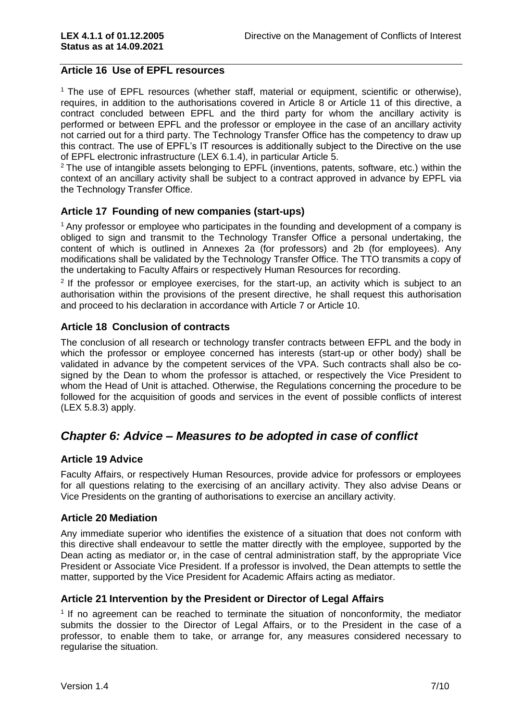#### **Article 16 Use of EPFL resources**

<sup>1</sup> The use of EPFL resources (whether staff, material or equipment, scientific or otherwise), requires, in addition to the authorisations covered in Article 8 or Article 11 of this directive, a contract concluded between EPFL and the third party for whom the ancillary activity is performed or between EPFL and the professor or employee in the case of an ancillary activity not carried out for a third party. The Technology Transfer Office has the competency to draw up this contract. The use of EPFL's IT resources is additionally subject to the Directive on the use of EPFL electronic infrastructure (LEX 6.1.4), in particular Article 5.

<sup>2</sup> The use of intangible assets belonging to EPFL (inventions, patents, software, etc.) within the context of an ancillary activity shall be subject to a contract approved in advance by EPFL via the Technology Transfer Office.

#### **Article 17 Founding of new companies (start-ups)**

 $<sup>1</sup>$  Any professor or employee who participates in the founding and development of a company is</sup> obliged to sign and transmit to the Technology Transfer Office a personal undertaking, the content of which is outlined in Annexes 2a (for professors) and 2b (for employees). Any modifications shall be validated by the Technology Transfer Office. The TTO transmits a copy of the undertaking to Faculty Affairs or respectively Human Resources for recording.

 $2$  If the professor or employee exercises, for the start-up, an activity which is subject to an authorisation within the provisions of the present directive, he shall request this authorisation and proceed to his declaration in accordance with Article 7 or Article 10.

#### **Article 18 Conclusion of contracts**

The conclusion of all research or technology transfer contracts between EFPL and the body in which the professor or employee concerned has interests (start-up or other body) shall be validated in advance by the competent services of the VPA. Such contracts shall also be cosigned by the Dean to whom the professor is attached, or respectively the Vice President to whom the Head of Unit is attached. Otherwise, the Regulations concerning the procedure to be followed for the acquisition of goods and services in the event of possible conflicts of interest (LEX 5.8.3) apply.

## *Chapter 6: Advice – Measures to be adopted in case of conflict*

#### **Article 19 Advice**

Faculty Affairs, or respectively Human Resources, provide advice for professors or employees for all questions relating to the exercising of an ancillary activity. They also advise Deans or Vice Presidents on the granting of authorisations to exercise an ancillary activity.

#### **Article 20 Mediation**

Any immediate superior who identifies the existence of a situation that does not conform with this directive shall endeavour to settle the matter directly with the employee, supported by the Dean acting as mediator or, in the case of central administration staff, by the appropriate Vice President or Associate Vice President. If a professor is involved, the Dean attempts to settle the matter, supported by the Vice President for Academic Affairs acting as mediator.

#### **Article 21 Intervention by the President or Director of Legal Affairs**

<sup>1</sup> If no agreement can be reached to terminate the situation of nonconformity, the mediator submits the dossier to the Director of Legal Affairs, or to the President in the case of a professor, to enable them to take, or arrange for, any measures considered necessary to regularise the situation.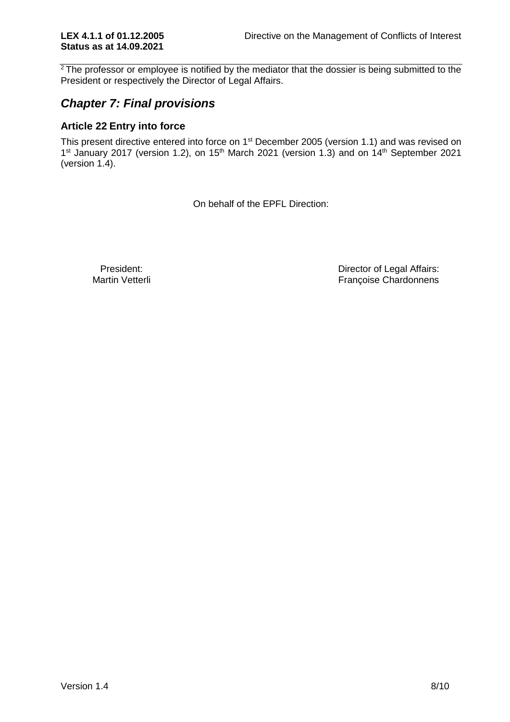$2$ The professor or employee is notified by the mediator that the dossier is being submitted to the President or respectively the Director of Legal Affairs.

# *Chapter 7: Final provisions*

### **Article 22 Entry into force**

This present directive entered into force on 1<sup>st</sup> December 2005 (version 1.1) and was revised on 1<sup>st</sup> January 2017 (version 1.2), on 15<sup>th</sup> March 2021 (version 1.3) and on 14<sup>th</sup> September 2021 (version 1.4).

On behalf of the EPFL Direction:

President:<br>
Martin Vetterli<br>
Martin Vetterli<br>
Martin Vetterli Françoise Chardonnens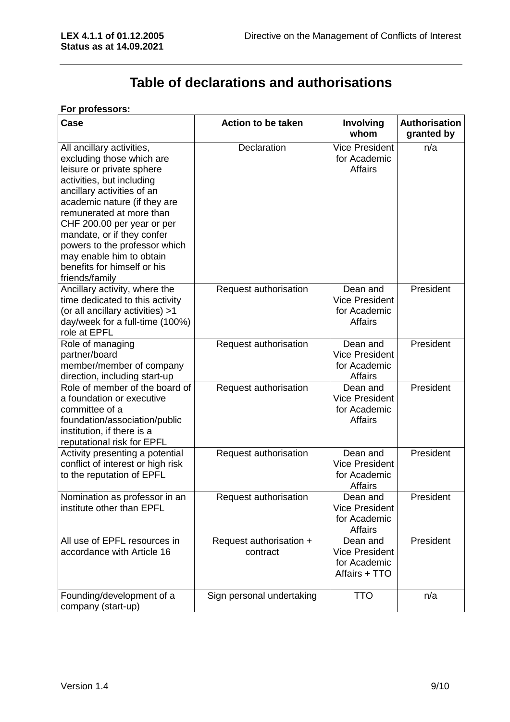# **Table of declarations and authorisations**

#### **For professors:**

| Case                                                                                                                                                                                                                                                                                                                                                                                 | <b>Action to be taken</b>           | <b>Involving</b><br>whom                                            | <b>Authorisation</b><br>granted by |
|--------------------------------------------------------------------------------------------------------------------------------------------------------------------------------------------------------------------------------------------------------------------------------------------------------------------------------------------------------------------------------------|-------------------------------------|---------------------------------------------------------------------|------------------------------------|
| All ancillary activities,<br>excluding those which are<br>leisure or private sphere<br>activities, but including<br>ancillary activities of an<br>academic nature (if they are<br>remunerated at more than<br>CHF 200.00 per year or per<br>mandate, or if they confer<br>powers to the professor which<br>may enable him to obtain<br>benefits for himself or his<br>friends/family | Declaration                         | <b>Vice President</b><br>for Academic<br><b>Affairs</b>             | n/a                                |
| Ancillary activity, where the<br>time dedicated to this activity<br>(or all ancillary activities) >1<br>day/week for a full-time (100%)<br>role at EPFL                                                                                                                                                                                                                              | Request authorisation               | Dean and<br><b>Vice President</b><br>for Academic<br><b>Affairs</b> | President                          |
| Role of managing<br>partner/board<br>member/member of company<br>direction, including start-up                                                                                                                                                                                                                                                                                       | Request authorisation               | Dean and<br><b>Vice President</b><br>for Academic<br><b>Affairs</b> | President                          |
| Role of member of the board of<br>a foundation or executive<br>committee of a<br>foundation/association/public<br>institution, if there is a<br>reputational risk for EPFL                                                                                                                                                                                                           | Request authorisation               | Dean and<br><b>Vice President</b><br>for Academic<br><b>Affairs</b> | President                          |
| Activity presenting a potential<br>conflict of interest or high risk<br>to the reputation of EPFL                                                                                                                                                                                                                                                                                    | Request authorisation               | Dean and<br><b>Vice President</b><br>for Academic<br><b>Affairs</b> | President                          |
| Nomination as professor in an<br>institute other than EPFL                                                                                                                                                                                                                                                                                                                           | Request authorisation               | Dean and<br><b>Vice President</b><br>for Academic<br><b>Affairs</b> | President                          |
| All use of EPFL resources in<br>accordance with Article 16                                                                                                                                                                                                                                                                                                                           | Request authorisation +<br>contract | Dean and<br><b>Vice President</b><br>for Academic<br>Affairs + TTO  | President                          |
| Founding/development of a<br>company (start-up)                                                                                                                                                                                                                                                                                                                                      | Sign personal undertaking           | <b>TTO</b>                                                          | n/a                                |